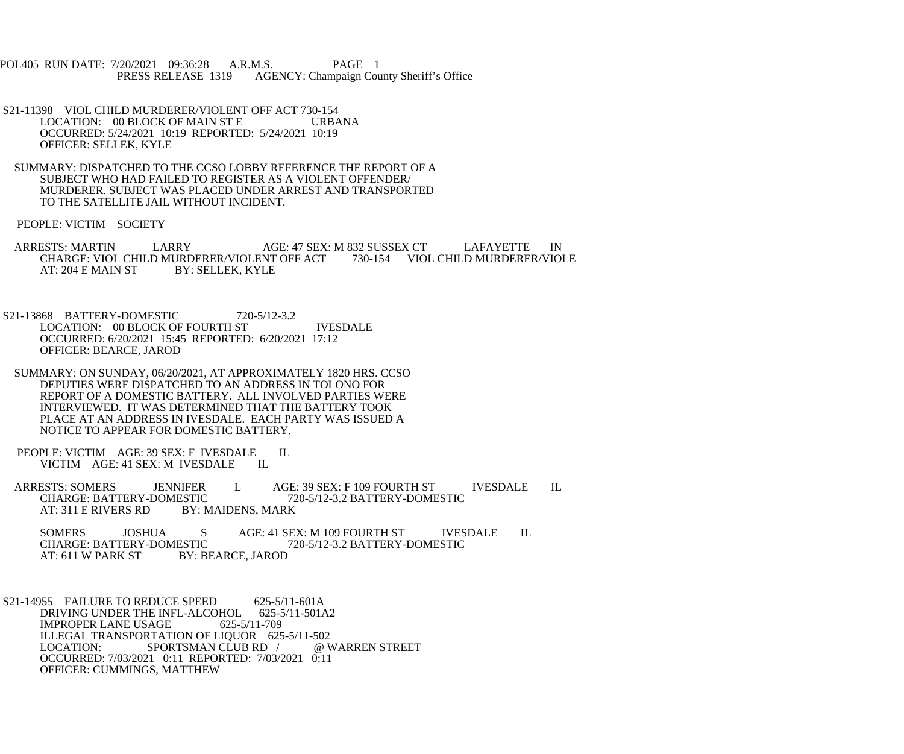POL405 RUN DATE: 7/20/2021 09:36:28 A.R.M.S. PAGE 1<br>PRESS RELEASE 1319 AGENCY: Champaign Cou AGENCY: Champaign County Sheriff's Office

- S21-11398 VIOL CHILD MURDERER/VIOLENT OFF ACT 730-154<br>LOCATION: 00 BLOCK OF MAIN ST E URBANA LOCATION: 00 BLOCK OF MAIN ST E OCCURRED: 5/24/2021 10:19 REPORTED: 5/24/2021 10:19 OFFICER: SELLEK, KYLE
- SUMMARY: DISPATCHED TO THE CCSO LOBBY REFERENCE THE REPORT OF A SUBJECT WHO HAD FAILED TO REGISTER AS A VIOLENT OFFENDER/ MURDERER. SUBJECT WAS PLACED UNDER ARREST AND TRANSPORTED TO THE SATELLITE JAIL WITHOUT INCIDENT.

PEOPLE: VICTIM SOCIETY

- ARRESTS: MARTIN LARRY AGE: 47 SEX: M 832 SUSSEX CT LAFAYETTE IN CHARGE: VIOL CHILD MURDERER/VIOLENT OFF ACT 730-154 VIOL CHILD MURDERER/VIOLE CHARGE: VIOL CHILD MURDERER/VIOLENT OFF ACT<br>AT: 204 E MAIN ST BY: SELLEK, KYLE AT: 204 E MAIN ST
- S21-13868 BATTERY-DOMESTIC 720-5/12-3.2 LOCATION: 00 BLOCK OF FOURTH ST IVESDALE OCCURRED: 6/20/2021 15:45 REPORTED: 6/20/2021 17:12 OFFICER: BEARCE, JAROD
- SUMMARY: ON SUNDAY, 06/20/2021, AT APPROXIMATELY 1820 HRS. CCSO DEPUTIES WERE DISPATCHED TO AN ADDRESS IN TOLONO FOR REPORT OF A DOMESTIC BATTERY. ALL INVOLVED PARTIES WERE INTERVIEWED. IT WAS DETERMINED THAT THE BATTERY TOOK PLACE AT AN ADDRESS IN IVESDALE. EACH PARTY WAS ISSUED A NOTICE TO APPEAR FOR DOMESTIC BATTERY.
- PEOPLE: VICTIM AGE: 39 SEX: F IVESDALE IL<br>VICTIM AGE: 41 SEX: M IVESDALE IL VICTIM AGE: 41 SEX: M IVESDALE
- ARRESTS: SOMERS JENNIFER L AGE: 39 SEX: F 109 FOURTH ST IVESDALE IL<br>CHARGE: BATTERY-DOMESTIC 720-5/12-3.2 BATTERY-DOMESTIC CHARGE: BATTERY-DOMESTIC<br>AT: 311 E RIVERS RD BY: N BY: MAIDENS, MARK

SOMERS JOSHUA S AGE: 41 SEX: M 109 FOURTH ST IVESDALE IL CHARGE: BATTERY-DOMESTIC 720-5/12-3.2 BATTERY-DOMESTIC CHARGE: BATTERY-DOMESTIC 720-5/12-3.2 BATTERY-DOMESTIC<br>AT: 611 W PARK ST BY: BEARCE. JAROD BY: BEARCE, JAROD

S21-14955 FAILURE TO REDUCE SPEED 625-5/11-601A DRIVING UNDER THE INFL-ALCOHOL 625-5/11-501A2<br>IMPROPER LANE USAGE 625-5/11-709 **IMPROPER LANE USAGE** ILLEGAL TRANSPORTATION OF LIQUOR 625-5/11-502<br>LOCATION: SPORTSMAN CLUB RD / @ WARREN STREET SPORTSMAN CLUB RD / OCCURRED: 7/03/2021 0:11 REPORTED: 7/03/2021 0:11 OFFICER: CUMMINGS, MATTHEW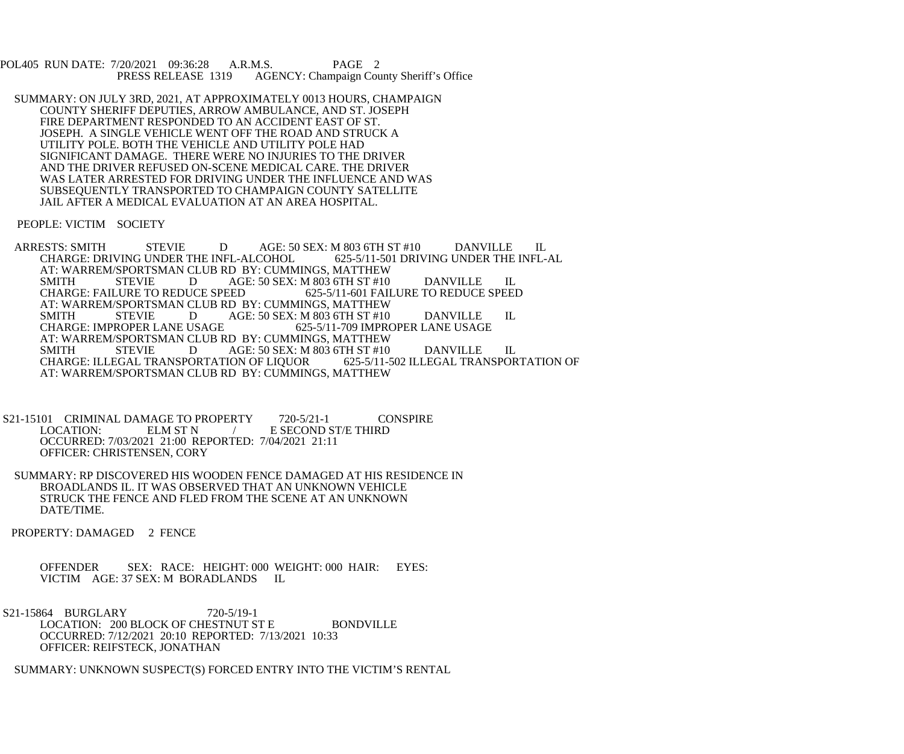POL405 RUN DATE: 7/20/2021 09:36:28 A.R.M.S. PAGE 2<br>PRESS RELEASE 1319 AGENCY: Champaign Cou AGENCY: Champaign County Sheriff's Office

 SUMMARY: ON JULY 3RD, 2021, AT APPROXIMATELY 0013 HOURS, CHAMPAIGN COUNTY SHERIFF DEPUTIES, ARROW AMBULANCE, AND ST. JOSEPH FIRE DEPARTMENT RESPONDED TO AN ACCIDENT EAST OF ST. JOSEPH. A SINGLE VEHICLE WENT OFF THE ROAD AND STRUCK A UTILITY POLE. BOTH THE VEHICLE AND UTILITY POLE HAD SIGNIFICANT DAMAGE. THERE WERE NO INJURIES TO THE DRIVER AND THE DRIVER REFUSED ON-SCENE MEDICAL CARE. THE DRIVER WAS LATER ARRESTED FOR DRIVING UNDER THE INFLUENCE AND WAS SUBSEQUENTLY TRANSPORTED TO CHAMPAIGN COUNTY SATELLITE JAIL AFTER A MEDICAL EVALUATION AT AN AREA HOSPITAL.

PEOPLE: VICTIM SOCIETY

- ARRESTS: SMITH STEVIE DAGE: 50 SEX: M 803 6TH ST #10 DANVILLE IL<br>CHARGE: DRIVING UNDER THE INFL-ALCOHOL 625-5/11-501 DRIVING UNDER THE INFL-AL CHARGE: DRIVING UNDER THE INFL-ALCOHOL AT: WARREM/SPORTSMAN CLUB RD BY: CUMMINGS, MATTHEW<br>SMITH STEVIE DAGE: 50 SEX: M 803 6TH ST #10 SMITH STEVIE D AGE: 50 SEX: M 803 6TH ST #10 DANVILLE IL<br>CHARGE: FAILURE TO REDUCE SPEED 625-5/11-601 FAILURE TO REDUCE SPEEI 625-5/11-601 FAILURE TO REDUCE SPEED AT: WARREM/SPORTSMAN CLUB RD BY: CUMMINGS, MATTHEW<br>SMITH STEVIE DAGE: 50 SEX: M 803 6TH ST #10 SMITH STEVIE D AGE: 50 SEX: M 803 6TH ST #10 DANVILLE IL CHARGE: IMPROPER LANE USAGE 625-5/11-709 IMPROPER LANE USAGE CHARGE: IMPROPER LANE USAGE AT: WARREM/SPORTSMAN CLUB RD BY: CUMMINGS, MATTHEW<br>SMITH STEVIE DAGE: 50 SEX: M 803 6TH ST #10 AGE: 50 SEX: M 803 6TH ST #10 DANVILLE IL<br>ION OF LIQUOR 625-5/11-502 ILLEGAL TRANSPORTATION OF CHARGE: ILLEGAL TRANSPORTATION OF LIQUOR AT: WARREM/SPORTSMAN CLUB RD BY: CUMMINGS, MATTHEW
- S21-15101 CRIMINAL DAMAGE TO PROPERTY 720-5/21-1 CONSPIRE<br>LOCATION: ELM ST N / E SECOND ST/E THIRD *L* E SECOND ST/E THIRD OCCURRED: 7/03/2021 21:00 REPORTED: 7/04/2021 21:11 OFFICER: CHRISTENSEN, CORY
- SUMMARY: RP DISCOVERED HIS WOODEN FENCE DAMAGED AT HIS RESIDENCE IN BROADLANDS IL. IT WAS OBSERVED THAT AN UNKNOWN VEHICLE STRUCK THE FENCE AND FLED FROM THE SCENE AT AN UNKNOWN DATE/TIME.
- PROPERTY: DAMAGED 2 FENCE

 OFFENDER SEX: RACE: HEIGHT: 000 WEIGHT: 000 HAIR: EYES: VICTIM AGE: 37 SEX: M BORADLANDS IL

 S21-15864 BURGLARY 720-5/19-1 LOCATION: 200 BLOCK OF CHESTNUT ST E BONDVILLE OCCURRED: 7/12/2021 20:10 REPORTED: 7/13/2021 10:33 OFFICER: REIFSTECK, JONATHAN

SUMMARY: UNKNOWN SUSPECT(S) FORCED ENTRY INTO THE VICTIM'S RENTAL